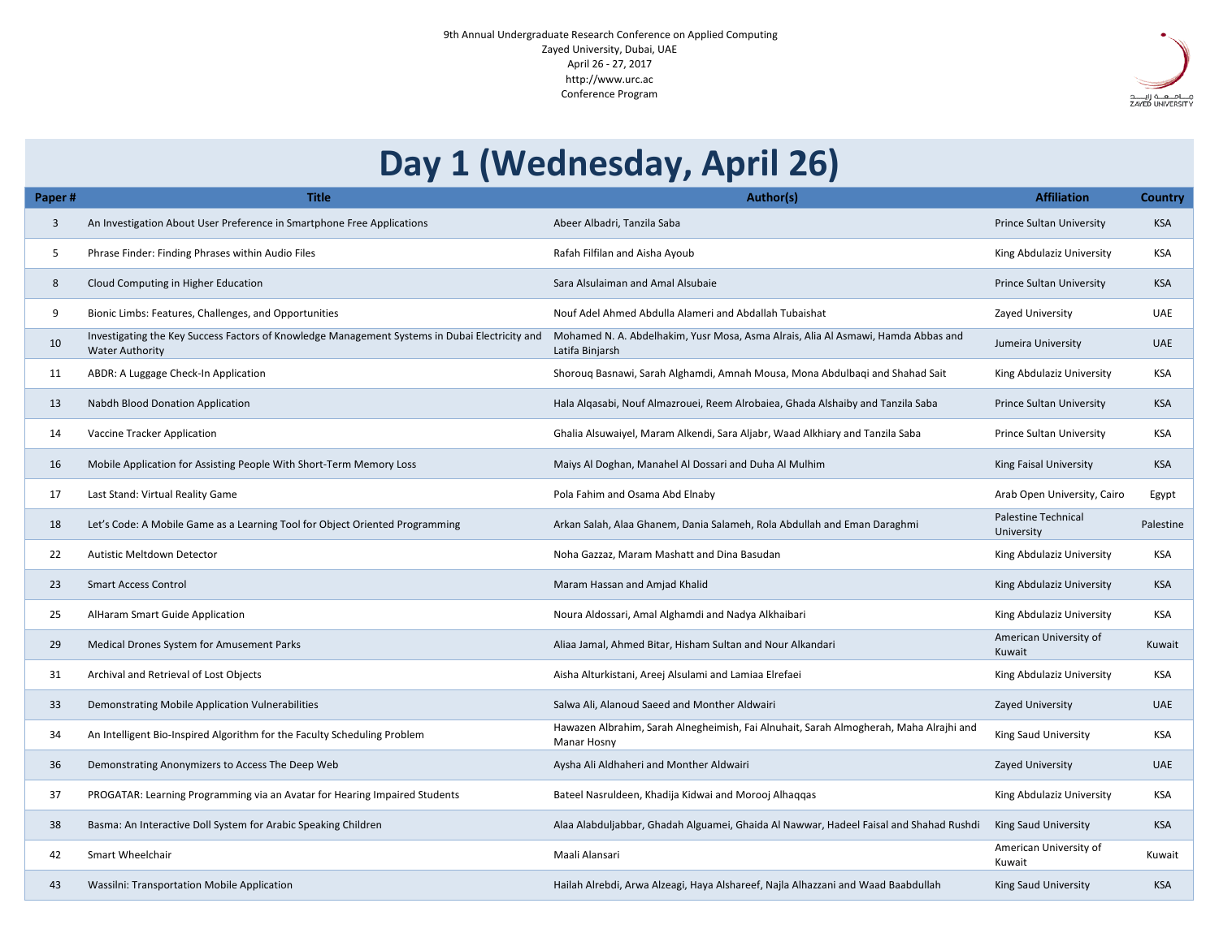9th Annual Undergraduate Research Conference on Applied Computing Zayed University, Dubai, UAE April 26 - 27, 2017 http://www.urc.ac Conference Program

## **Paper # Title Author(s) Affiliation Country** 3 An Investigation About User Preference in Smartphone Free Applications Abeer Albadri, Tanzila Saba Prince Sultan University KSA King Abdulaziz University KSA 8 Cloud Computing in Higher Education Sara Nisulaiman and Amal Alsubaie Prince Sultan University KSA 9 Bionic Limbs: Features, Challenges, and Opportunities Nouf Adel Ahmed Abdulla Alameri and Abdallah Tubaishat Zayed University UAE a, Asma Alrais, Alia Al Asmawi, Hamda Abbas and Latifa Binjarsh Jumeira University UAE 11 Inah Mousa, Mona Abdulbaqi and Shahad Sait King Abdulaziz University KSA 13 Alrobaiea, Ghada Alshaiby and Tanzila Saba **Prince Sultan University** KSA 14 Tracker Alignication Ghalia Alkendi, Maram Alignication Ghalia Alignication Chalia Alexandri, Maram Alexand 16 Mobile Application for Assisting People With Short-Term Memory Loss Maiys Al Doghan, Manahel Al Dossari and Duha Al Mulhim King Faisal University KSA Arab Open University, Cairo Egypt neh, Rola Abdullah and Eman Daraghmi Palestine Technical University Palestine 22 Automatistic Meltane Meltane Gazzar, Maram Mashatt and Dina Basudan King Abdulaziz University KSA 23 Smart Access Control National Maram Hassan and Amjad Khalid Khalid King Abdulaziz University KSA 25 AlHaram Smart Guide Application Noura Noura Aldossari, Amal Alghamdi and Nadya Alkhaibari Noura Aldossari, Amal Alghamdi and Nadya Alkhaibari King Abdulaziz University KSA n and Nour Alkandari American University of Kuwait Kuwait 31 Archival and Retrieval of Lost Objects **Aisha Alturkistani, Areej Alsulami and Lamiaa Elrefaei** King Abdulaziz University KSA 33 Demonstrating Mobile Application Vulnerabilities Salwa Ali, Alanoud Saeed and Monther Aldwairi Zayed University VAE sh, Fai Alnuhait, Sarah Almogherah, Maha Alrajhi and Manar Hosny King Saud University **KSA** 36 Demonstrating Anonymizers to Access The Deep Web Aysha Ali Aldhaheri and Monther Aldwairi Zayed University Zayed University UAE **37 Programming Programming Programming Via an Avatar For Hearing Abdulaziz University KSA** Ghaida Al Nawwar, Hadeel Faisal and Shahad Rushdi King Saud University KSA American University of Kuwait Kuwait areef, Najla Alhazzani and Waad Baabdullah **Alareba Alarea Alareef, Najla Alhazzani and Waad Baabdullah King Saud University KSA Day 1 (Wednesday, April 26)**

| Paper# |              | <b>Title</b>                                                                                                             |                                                           |  |
|--------|--------------|--------------------------------------------------------------------------------------------------------------------------|-----------------------------------------------------------|--|
|        | $\mathbf{3}$ | An Investigation About User Preference in Smartphone Free Applications                                                   | Abeer Albadri, Tanzila Saba                               |  |
|        | 5            | Phrase Finder: Finding Phrases within Audio Files                                                                        | Rafah Filfilan and Aisha Ayoub                            |  |
|        | 8            | Cloud Computing in Higher Education                                                                                      | Sara Alsulaiman and Amal Alsubaie                         |  |
|        | 9            | Bionic Limbs: Features, Challenges, and Opportunities                                                                    | Nouf Adel Ahmed Abdulla Alameri and                       |  |
|        | 10           | Investigating the Key Success Factors of Knowledge Management Systems in Dubai Electricity and<br><b>Water Authority</b> | Mohamed N. A. Abdelhakim, Yusr Mos<br>Latifa Binjarsh     |  |
|        | 11           | ABDR: A Luggage Check-In Application                                                                                     | Shorouq Basnawi, Sarah Alghamdi, Am                       |  |
|        | 13           | <b>Nabdh Blood Donation Application</b>                                                                                  | Hala Alqasabi, Nouf Almazrouei, Reem                      |  |
|        | 14           | <b>Vaccine Tracker Application</b>                                                                                       | Ghalia Alsuwaiyel, Maram Alkendi, Sara                    |  |
|        | 16           | Mobile Application for Assisting People With Short-Term Memory Loss                                                      | Maiys Al Doghan, Manahel Al Dossari a                     |  |
|        | 17           | Last Stand: Virtual Reality Game                                                                                         | Pola Fahim and Osama Abd Elnaby                           |  |
|        | 18           | Let's Code: A Mobile Game as a Learning Tool for Object Oriented Programming                                             | Arkan Salah, Alaa Ghanem, Dania Salar                     |  |
|        | 22           | <b>Autistic Meltdown Detector</b>                                                                                        | Noha Gazzaz, Maram Mashatt and Dina                       |  |
|        | 23           | <b>Smart Access Control</b>                                                                                              | Maram Hassan and Amjad Khalid                             |  |
|        | 25           | <b>AlHaram Smart Guide Application</b>                                                                                   | Noura Aldossari, Amal Alghamdi and N                      |  |
|        | 29           | <b>Medical Drones System for Amusement Parks</b>                                                                         | Aliaa Jamal, Ahmed Bitar, Hisham Sulta                    |  |
|        | 31           | Archival and Retrieval of Lost Objects                                                                                   | Aisha Alturkistani, Areej Alsulami and L                  |  |
|        | 33           | Demonstrating Mobile Application Vulnerabilities                                                                         | Salwa Ali, Alanoud Saeed and Monther                      |  |
|        | 34           | An Intelligent Bio-Inspired Algorithm for the Faculty Scheduling Problem                                                 | Hawazen Albrahim, Sarah Alnegheimis<br><b>Manar Hosny</b> |  |
|        | 36           | Demonstrating Anonymizers to Access The Deep Web                                                                         | Aysha Ali Aldhaheri and Monther Aldw                      |  |
|        | 37           | PROGATAR: Learning Programming via an Avatar for Hearing Impaired Students                                               | Bateel Nasruldeen, Khadija Kidwai and                     |  |
|        | 38           | Basma: An Interactive Doll System for Arabic Speaking Children                                                           | Alaa Alabduljabbar, Ghadah Alguamei,                      |  |
|        | 42           | <b>Smart Wheelchair</b>                                                                                                  | Maali Alansari                                            |  |
|        | 43           | <b>Wassilni: Transportation Mobile Application</b>                                                                       | Hailah Alrebdi, Arwa Alzeagi, Haya Alsh                   |  |

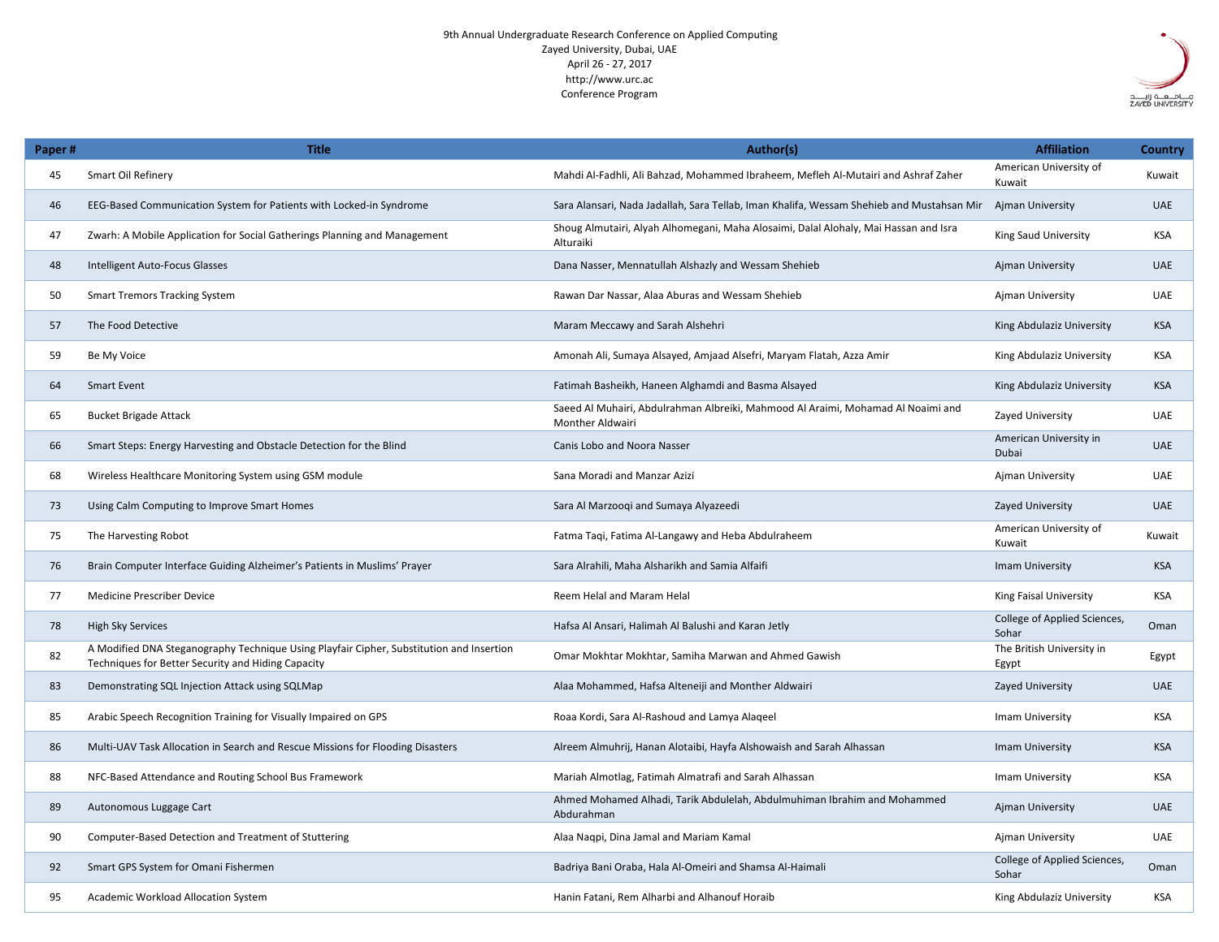9th Annual Undergraduate Research Conference on Applied Computing Zayed University, Dubai, UAE April 26 - 27, 2017 http://www.urc.ac Conference Program

| Paper# | <b>Title</b>                                                                                                                                   | Author(s)                                                                                                   | <b>Affiliation</b>                    | <b>Country</b> |
|--------|------------------------------------------------------------------------------------------------------------------------------------------------|-------------------------------------------------------------------------------------------------------------|---------------------------------------|----------------|
| 45     | <b>Smart Oil Refinery</b>                                                                                                                      | Mahdi Al-Fadhli, Ali Bahzad, Mohammed Ibraheem, Mefleh Al-Mutairi and Ashraf Zaher                          | American University of<br>Kuwait      | Kuwait         |
| 46     | EEG-Based Communication System for Patients with Locked-in Syndrome                                                                            | Sara Alansari, Nada Jadallah, Sara Tellab, Iman Khalifa, Wessam Shehieb and Mustahsan Mir                   | <b>Ajman University</b>               | <b>UAE</b>     |
| 47     | Zwarh: A Mobile Application for Social Gatherings Planning and Management                                                                      | Shoug Almutairi, Alyah Alhomegani, Maha Alosaimi, Dalal Alohaly, Mai Hassan and Isra<br>Alturaiki           | <b>King Saud University</b>           | <b>KSA</b>     |
| 48     | Intelligent Auto-Focus Glasses                                                                                                                 | Dana Nasser, Mennatullah Alshazly and Wessam Shehieb                                                        | <b>Ajman University</b>               | <b>UAE</b>     |
| 50     | <b>Smart Tremors Tracking System</b>                                                                                                           | Rawan Dar Nassar, Alaa Aburas and Wessam Shehieb                                                            | <b>Ajman University</b>               | <b>UAE</b>     |
| 57     | The Food Detective                                                                                                                             | Maram Meccawy and Sarah Alshehri                                                                            | King Abdulaziz University             | <b>KSA</b>     |
| 59     | Be My Voice                                                                                                                                    | Amonah Ali, Sumaya Alsayed, Amjaad Alsefri, Maryam Flatah, Azza Amir                                        | King Abdulaziz University             | <b>KSA</b>     |
| 64     | <b>Smart Event</b>                                                                                                                             | Fatimah Basheikh, Haneen Alghamdi and Basma Alsayed                                                         | King Abdulaziz University             | <b>KSA</b>     |
| 65     | <b>Bucket Brigade Attack</b>                                                                                                                   | Saeed Al Muhairi, Abdulrahman Albreiki, Mahmood Al Araimi, Mohamad Al Noaimi and<br><b>Monther Aldwairi</b> | Zayed University                      | <b>UAE</b>     |
| 66     | Smart Steps: Energy Harvesting and Obstacle Detection for the Blind                                                                            | <b>Canis Lobo and Noora Nasser</b>                                                                          | American University in<br>Dubai       | <b>UAE</b>     |
| 68     | Wireless Healthcare Monitoring System using GSM module                                                                                         | Sana Moradi and Manzar Azizi                                                                                | Ajman University                      | <b>UAE</b>     |
| 73     | Using Calm Computing to Improve Smart Homes                                                                                                    | Sara Al Marzooqi and Sumaya Alyazeedi                                                                       | Zayed University                      | <b>UAE</b>     |
| 75     | The Harvesting Robot                                                                                                                           | Fatma Taqi, Fatima Al-Langawy and Heba Abdulraheem                                                          | American University of<br>Kuwait      | Kuwait         |
| 76     | Brain Computer Interface Guiding Alzheimer's Patients in Muslims' Prayer                                                                       | Sara Alrahili, Maha Alsharikh and Samia Alfaifi                                                             | Imam University                       | <b>KSA</b>     |
| 77     | <b>Medicine Prescriber Device</b>                                                                                                              | <b>Reem Helal and Maram Helal</b>                                                                           | <b>King Faisal University</b>         | <b>KSA</b>     |
| 78     | <b>High Sky Services</b>                                                                                                                       | Hafsa Al Ansari, Halimah Al Balushi and Karan Jetly                                                         | College of Applied Sciences,<br>Sohar | Oman           |
| 82     | A Modified DNA Steganography Technique Using Playfair Cipher, Substitution and Insertion<br>Techniques for Better Security and Hiding Capacity | Omar Mokhtar Mokhtar, Samiha Marwan and Ahmed Gawish                                                        | The British University in<br>Egypt    | Egypt          |
| 83     | Demonstrating SQL Injection Attack using SQLMap                                                                                                | Alaa Mohammed, Hafsa Alteneiji and Monther Aldwairi                                                         | <b>Zayed University</b>               | <b>UAE</b>     |
| 85     | Arabic Speech Recognition Training for Visually Impaired on GPS                                                                                | Roaa Kordi, Sara Al-Rashoud and Lamya Alaqeel                                                               | Imam University                       | <b>KSA</b>     |
| 86     | Multi-UAV Task Allocation in Search and Rescue Missions for Flooding Disasters                                                                 | Alreem Almuhrij, Hanan Alotaibi, Hayfa Alshowaish and Sarah Alhassan                                        | Imam University                       | <b>KSA</b>     |
| 88     | NFC-Based Attendance and Routing School Bus Framework                                                                                          | Mariah Almotlag, Fatimah Almatrafi and Sarah Alhassan                                                       | Imam University                       | <b>KSA</b>     |
| 89     | Autonomous Luggage Cart                                                                                                                        | Ahmed Mohamed Alhadi, Tarik Abdulelah, Abdulmuhiman Ibrahim and Mohammed<br>Abdurahman                      | <b>Ajman University</b>               | <b>UAE</b>     |
| 90     | <b>Computer-Based Detection and Treatment of Stuttering</b>                                                                                    | Alaa Naqpi, Dina Jamal and Mariam Kamal                                                                     | Ajman University                      | <b>UAE</b>     |
| 92     | Smart GPS System for Omani Fishermen                                                                                                           | Badriya Bani Oraba, Hala Al-Omeiri and Shamsa Al-Haimali                                                    | College of Applied Sciences,<br>Sohar | Oman           |
| 95     | <b>Academic Workload Allocation System</b>                                                                                                     | Hanin Fatani, Rem Alharbi and Alhanouf Horaib                                                               | King Abdulaziz University             | <b>KSA</b>     |